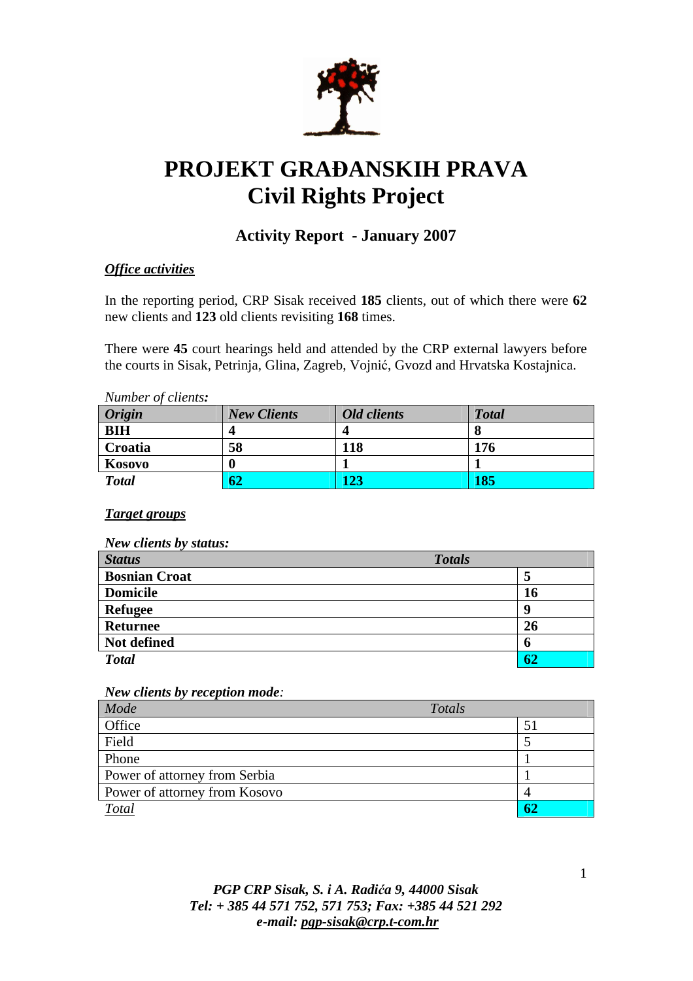

# **PROJEKT GRA**Đ**ANSKIH PRAVA Civil Rights Project**

# **Activity Report - January 2007**

# *Office activities*

In the reporting period, CRP Sisak received **185** clients, out of which there were **62**  new clients and **123** old clients revisiting **168** times.

There were **45** court hearings held and attended by the CRP external lawyers before the courts in Sisak, Petrinja, Glina, Zagreb, Vojnić, Gvozd and Hrvatska Kostajnica.

| Number of clients: |                    |                 |              |  |
|--------------------|--------------------|-----------------|--------------|--|
| Origin             | <b>New Clients</b> | Old clients     | <b>Total</b> |  |
| <b>BIH</b>         |                    |                 |              |  |
| Croatia            | 58                 | 118             | 176          |  |
| Kosovo             |                    |                 |              |  |
| <b>Total</b>       | 62                 | $\overline{23}$ | 185          |  |

## *Target groups*

| <b>New clients by status:</b> |               |
|-------------------------------|---------------|
| <b>Status</b>                 | <b>Totals</b> |
| <b>Bosnian Croat</b>          | 5             |
| <b>Domicile</b>               | <b>16</b>     |
| <b>Refugee</b>                | g             |
| <b>Returnee</b>               | 26            |
| Not defined                   | 6             |
| <b>Total</b>                  | 62            |

#### *New clients by reception mode:*

| Mode                          | Totals |  |
|-------------------------------|--------|--|
| Office                        |        |  |
| Field                         |        |  |
| Phone                         |        |  |
| Power of attorney from Serbia |        |  |
| Power of attorney from Kosovo |        |  |
| <b>Total</b>                  |        |  |

# *PGP CRP Sisak, S. i A. Radi*ć*a 9, 44000 Sisak Tel: + 385 44 571 752, 571 753; Fax: +385 44 521 292 e-mail: pgp-sisak@crp.t-com.hr*

1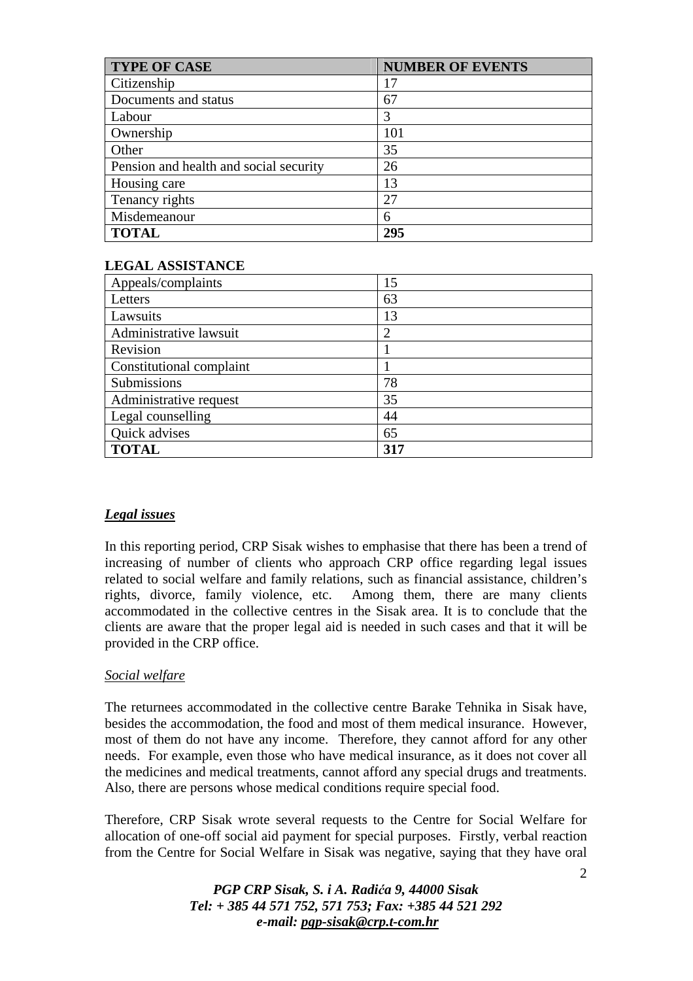| <b>TYPE OF CASE</b>                    | <b>NUMBER OF EVENTS</b> |
|----------------------------------------|-------------------------|
| Citizenship                            | 17                      |
| Documents and status                   | 67                      |
| Labour                                 | 3                       |
| Ownership                              | 101                     |
| Other                                  | 35                      |
| Pension and health and social security | 26                      |
| Housing care                           | 13                      |
| Tenancy rights                         | 27                      |
| Misdemeanour                           | 6                       |
| <b>TOTAL</b>                           | 295                     |

#### **LEGAL ASSISTANCE**

| Appeals/complaints       | 15             |
|--------------------------|----------------|
| Letters                  | 63             |
| Lawsuits                 | 13             |
| Administrative lawsuit   | $\overline{2}$ |
| Revision                 |                |
| Constitutional complaint |                |
| Submissions              | 78             |
| Administrative request   | 35             |
| Legal counselling        | 44             |
| Quick advises            | 65             |
| <b>TOTAL</b>             | 317            |

## *Legal issues*

In this reporting period, CRP Sisak wishes to emphasise that there has been a trend of increasing of number of clients who approach CRP office regarding legal issues related to social welfare and family relations, such as financial assistance, children's rights, divorce, family violence, etc. Among them, there are many clients accommodated in the collective centres in the Sisak area. It is to conclude that the clients are aware that the proper legal aid is needed in such cases and that it will be provided in the CRP office.

#### *Social welfare*

The returnees accommodated in the collective centre Barake Tehnika in Sisak have, besides the accommodation, the food and most of them medical insurance. However, most of them do not have any income. Therefore, they cannot afford for any other needs. For example, even those who have medical insurance, as it does not cover all the medicines and medical treatments, cannot afford any special drugs and treatments. Also, there are persons whose medical conditions require special food.

Therefore, CRP Sisak wrote several requests to the Centre for Social Welfare for allocation of one-off social aid payment for special purposes. Firstly, verbal reaction from the Centre for Social Welfare in Sisak was negative, saying that they have oral

> *PGP CRP Sisak, S. i A. Radi*ć*a 9, 44000 Sisak Tel: + 385 44 571 752, 571 753; Fax: +385 44 521 292 e-mail: pgp-sisak@crp.t-com.hr*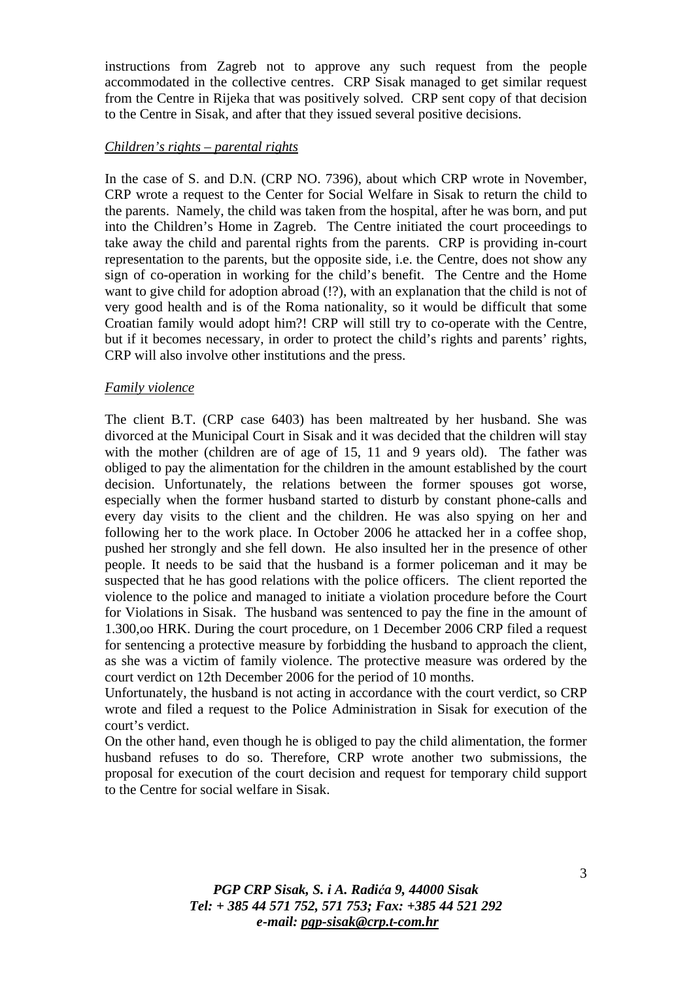instructions from Zagreb not to approve any such request from the people accommodated in the collective centres. CRP Sisak managed to get similar request from the Centre in Rijeka that was positively solved. CRP sent copy of that decision to the Centre in Sisak, and after that they issued several positive decisions.

#### *Children's rights – parental rights*

In the case of S. and D.N. (CRP NO. 7396), about which CRP wrote in November, CRP wrote a request to the Center for Social Welfare in Sisak to return the child to the parents. Namely, the child was taken from the hospital, after he was born, and put into the Children's Home in Zagreb. The Centre initiated the court proceedings to take away the child and parental rights from the parents. CRP is providing in-court representation to the parents, but the opposite side, i.e. the Centre, does not show any sign of co-operation in working for the child's benefit. The Centre and the Home want to give child for adoption abroad  $($ !?), with an explanation that the child is not of very good health and is of the Roma nationality, so it would be difficult that some Croatian family would adopt him?! CRP will still try to co-operate with the Centre, but if it becomes necessary, in order to protect the child's rights and parents' rights, CRP will also involve other institutions and the press.

#### *Family violence*

The client B.T. (CRP case 6403) has been maltreated by her husband. She was divorced at the Municipal Court in Sisak and it was decided that the children will stay with the mother (children are of age of 15, 11 and 9 years old). The father was obliged to pay the alimentation for the children in the amount established by the court decision. Unfortunately, the relations between the former spouses got worse, especially when the former husband started to disturb by constant phone-calls and every day visits to the client and the children. He was also spying on her and following her to the work place. In October 2006 he attacked her in a coffee shop, pushed her strongly and she fell down. He also insulted her in the presence of other people. It needs to be said that the husband is a former policeman and it may be suspected that he has good relations with the police officers. The client reported the violence to the police and managed to initiate a violation procedure before the Court for Violations in Sisak. The husband was sentenced to pay the fine in the amount of 1.300,oo HRK. During the court procedure, on 1 December 2006 CRP filed a request for sentencing a protective measure by forbidding the husband to approach the client, as she was a victim of family violence. The protective measure was ordered by the court verdict on 12th December 2006 for the period of 10 months.

Unfortunately, the husband is not acting in accordance with the court verdict, so CRP wrote and filed a request to the Police Administration in Sisak for execution of the court's verdict.

On the other hand, even though he is obliged to pay the child alimentation, the former husband refuses to do so. Therefore, CRP wrote another two submissions, the proposal for execution of the court decision and request for temporary child support to the Centre for social welfare in Sisak.